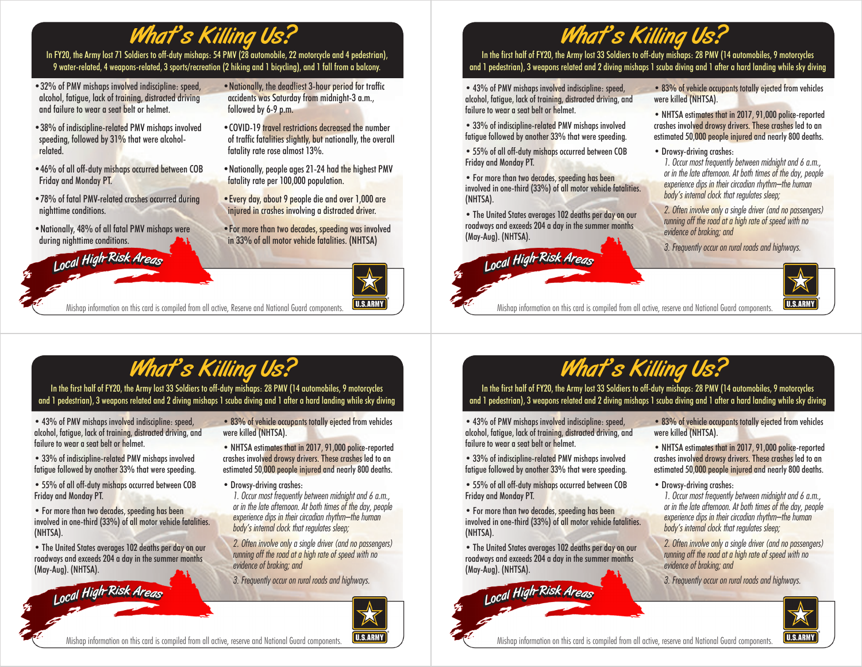## What's Killing Us?

In FY20, the Army lost 71 Soldiers to off-duty mishaps: 54 PMV (28 automobile, 22 motorcycle and 4 pedestrian), 9 water-related, 4 weapons-related, 3 sports/recreation (2 hiking and 1 bicycling), and 1 fall from a balcony.

- •32% of PMV mishaps involved indiscipline: speed, alcohol, fatigue, lack of training, distracted driving and failure to wear a seat belt or helmet.
- •38% of indiscipline-related PMV mishaps involved speeding, followed by 31% that were alcoholrelated.
- •46% of all off-duty mishaps occurred between COB Friday and Monday PT.
- •78% of fatal PMV-related crashes occurred during nighttime conditions.
- •Nationally, 48% of all fatal PMV mishaps were during nighttime conditions.

<sup>L</sup>oca<sup>l</sup> <sup>H</sup>igh-Ris<sup>k</sup> <sup>A</sup>rea<sup>s</sup> <sup>L</sup>oca<sup>l</sup> <sup>H</sup>igh-Ris<sup>k</sup> <sup>A</sup>rea<sup>s</sup>



- •COVID-19 travel restrictions decreased the number of traffic fatalities slightly, but nationally, the overall fatality rate rose almost 13%.
- •Nationally, people ages 21-24 had the highest PMV fatality rate per 100,000 population.
- •Every day, about 9 people die and over 1,000 are injured in crashes involving a distracted driver.
- •For more than two decades, speeding was involved in 33% of all motor vehicle fatalities. (NHTSA)



Mishap information on this card is compiled from all active, Reserve and National Guard components.